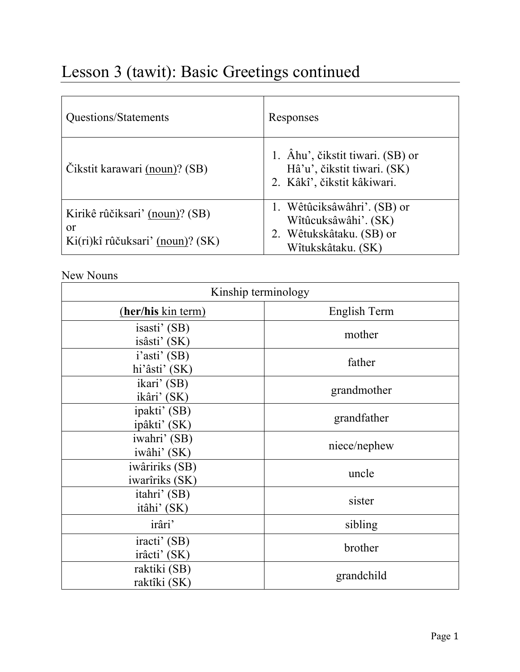# Lesson 3 (tawit): Basic Greetings continued

| Questions/Statements                                                                | Responses                                                                                             |
|-------------------------------------------------------------------------------------|-------------------------------------------------------------------------------------------------------|
| Čikstit karawari (noun)? (SB)                                                       | 1. Âhu', čikstit tiwari. (SB) or<br>Hâ'u', čikstit tiwari. (SK)<br>2. Kâkî', čikstit kâkiwari.        |
| Kirikê rûčiksari' (noun)? (SB)<br><sub>or</sub><br>Ki(ri)kî rûčuksari' (noun)? (SK) | 1. Wêtûciksâwâhri'. (SB) or<br>Wîtûcuksâwâhi'. (SK)<br>2. Wêtukskâtaku. (SB) or<br>Wîtukskâtaku. (SK) |

## New Nouns

| Kinship terminology              |              |  |  |  |
|----------------------------------|--------------|--|--|--|
| (her/his kin term)               | English Term |  |  |  |
| isasti' (SB)<br>isâsti' (SK)     | mother       |  |  |  |
| i'asti' (SB)<br>hi'âsti' (SK)    | father       |  |  |  |
| ikari' (SB)<br>ikâri' (SK)       | grandmother  |  |  |  |
| ipakti' (SB)<br>ipâkti' (SK)     | grandfather  |  |  |  |
| iwahri' (SB)<br>iwâhi' (SK)      | niece/nephew |  |  |  |
| iwâririks (SB)<br>iwarîriks (SK) | uncle        |  |  |  |
| itahri' (SB)<br>itâhi' (SK)      | sister       |  |  |  |
| irâri'                           | sibling      |  |  |  |
| iracti' (SB)<br>irâcti' (SK)     | brother      |  |  |  |
| raktiki (SB)<br>raktîki (SK)     | grandchild   |  |  |  |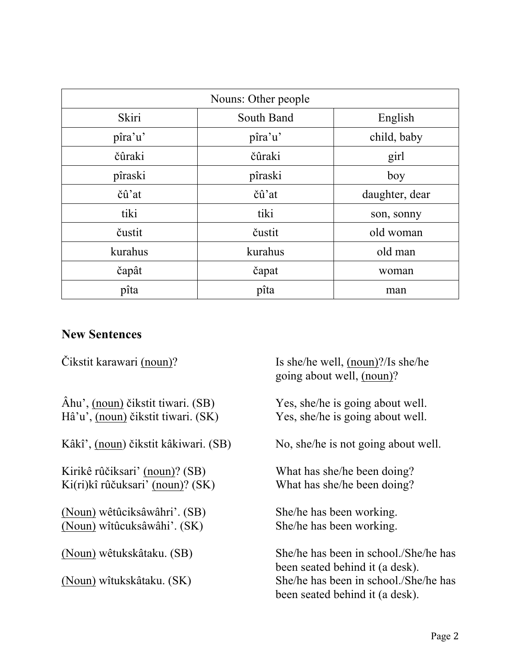| Nouns: Other people |            |                |  |
|---------------------|------------|----------------|--|
| Skiri               | South Band | English        |  |
| pîra'u'             | pîra'u'    | child, baby    |  |
| čûraki              | čûraki     | girl           |  |
| pîraski             | pîraski    | boy            |  |
| čû'at               | čû'at      | daughter, dear |  |
| tiki                | tiki       | son, sonny     |  |
| čustit              | čustit     | old woman      |  |
| kurahus             | kurahus    | old man        |  |
| čapât               | čapat      | woman          |  |
| pîta                | pîta       | man            |  |

#### **New Sentences**

Čikstit karawari (noun)?

 Âhu', (noun) čikstit tiwari. (SB) Yes, she/he is going about well. Hâ'u', (noun) čikstit tiwari. (SK) Yes, she/he is going about well.

Kâkî', (noun) čikstit kâkiwari. (SB) No, she/he is not going about well.

Kirikê rûčiksari' (noun)? (SB) Ki(ri)kî rûčuksari' (noun)? (SK) What has she/he been doing?

(Noun) wêtûciksâwâhri'. (SB) She/he has been working. (Noun) wîtûcuksâwâhi'. (SK) She/he has been working.

(Noun) wêtukskâtaku. (SB)

(Noun) wîtukskâtaku. (SK)

Is she/he well, (noun)?/Is she/he going about well, (noun)?

What has she/he been doing?

She/he has been in school./She/he has been seated behind it (a desk). She/he has been in school./She/he has been seated behind it (a desk).